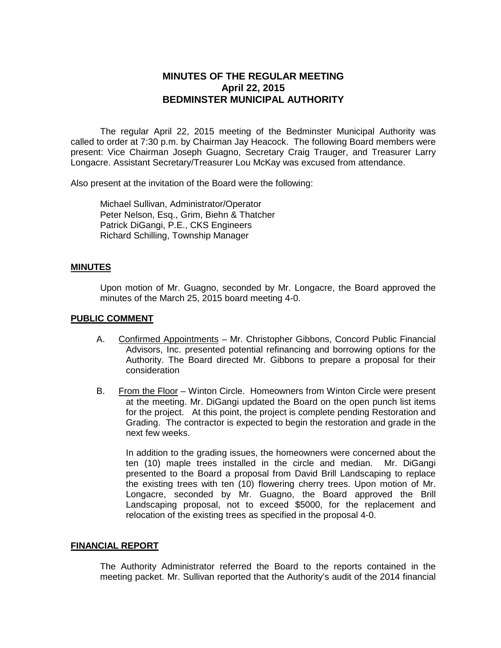# **MINUTES OF THE REGULAR MEETING April 22, 2015 BEDMINSTER MUNICIPAL AUTHORITY**

The regular April 22, 2015 meeting of the Bedminster Municipal Authority was called to order at 7:30 p.m. by Chairman Jay Heacock. The following Board members were present: Vice Chairman Joseph Guagno, Secretary Craig Trauger, and Treasurer Larry Longacre. Assistant Secretary/Treasurer Lou McKay was excused from attendance.

Also present at the invitation of the Board were the following:

Michael Sullivan, Administrator/Operator Peter Nelson, Esq., Grim, Biehn & Thatcher Patrick DiGangi, P.E., CKS Engineers Richard Schilling, Township Manager

#### **MINUTES**

Upon motion of Mr. Guagno, seconded by Mr. Longacre, the Board approved the minutes of the March 25, 2015 board meeting 4-0.

#### **PUBLIC COMMENT**

- A. Confirmed Appointments Mr. Christopher Gibbons, Concord Public Financial Advisors, Inc. presented potential refinancing and borrowing options for the Authority. The Board directed Mr. Gibbons to prepare a proposal for their consideration
- B. From the Floor Winton Circle. Homeowners from Winton Circle were present at the meeting. Mr. DiGangi updated the Board on the open punch list items for the project. At this point, the project is complete pending Restoration and Grading. The contractor is expected to begin the restoration and grade in the next few weeks.

In addition to the grading issues, the homeowners were concerned about the ten (10) maple trees installed in the circle and median. Mr. DiGangi presented to the Board a proposal from David Brill Landscaping to replace the existing trees with ten (10) flowering cherry trees. Upon motion of Mr. Longacre, seconded by Mr. Guagno, the Board approved the Brill Landscaping proposal, not to exceed \$5000, for the replacement and relocation of the existing trees as specified in the proposal 4-0.

#### **FINANCIAL REPORT**

The Authority Administrator referred the Board to the reports contained in the meeting packet. Mr. Sullivan reported that the Authority's audit of the 2014 financial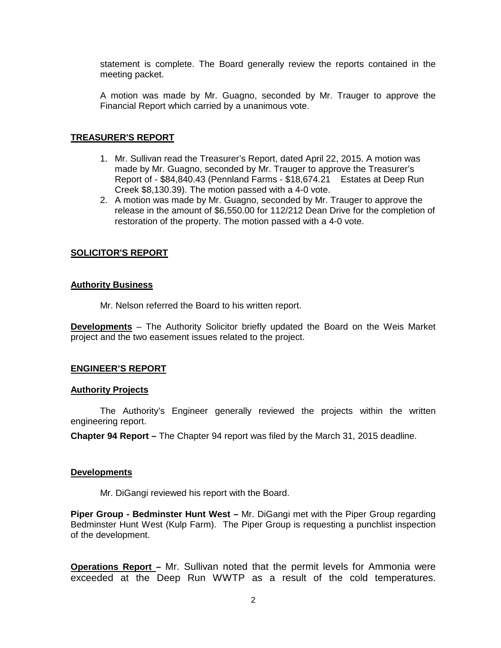statement is complete. The Board generally review the reports contained in the meeting packet.

A motion was made by Mr. Guagno, seconded by Mr. Trauger to approve the Financial Report which carried by a unanimous vote.

## **TREASURER'S REPORT**

- 1. Mr. Sullivan read the Treasurer's Report, dated April 22, 2015. A motion was made by Mr. Guagno, seconded by Mr. Trauger to approve the Treasurer's Report of - \$84,840.43 (Pennland Farms - \$18,674.21 Estates at Deep Run Creek \$8,130.39). The motion passed with a 4-0 vote.
- 2. A motion was made by Mr. Guagno, seconded by Mr. Trauger to approve the release in the amount of \$6,550.00 for 112/212 Dean Drive for the completion of restoration of the property. The motion passed with a 4-0 vote.

## **SOLICITOR'S REPORT**

#### **Authority Business**

Mr. Nelson referred the Board to his written report.

**Developments** – The Authority Solicitor briefly updated the Board on the Weis Market project and the two easement issues related to the project.

#### **ENGINEER'S REPORT**

#### **Authority Projects**

The Authority's Engineer generally reviewed the projects within the written engineering report.

**Chapter 94 Report –** The Chapter 94 report was filed by the March 31, 2015 deadline.

#### **Developments**

Mr. DiGangi reviewed his report with the Board.

**Piper Group - Bedminster Hunt West –** Mr. DiGangi met with the Piper Group regarding Bedminster Hunt West (Kulp Farm). The Piper Group is requesting a punchlist inspection of the development.

**Operations Report –** Mr. Sullivan noted that the permit levels for Ammonia were exceeded at the Deep Run WWTP as a result of the cold temperatures.